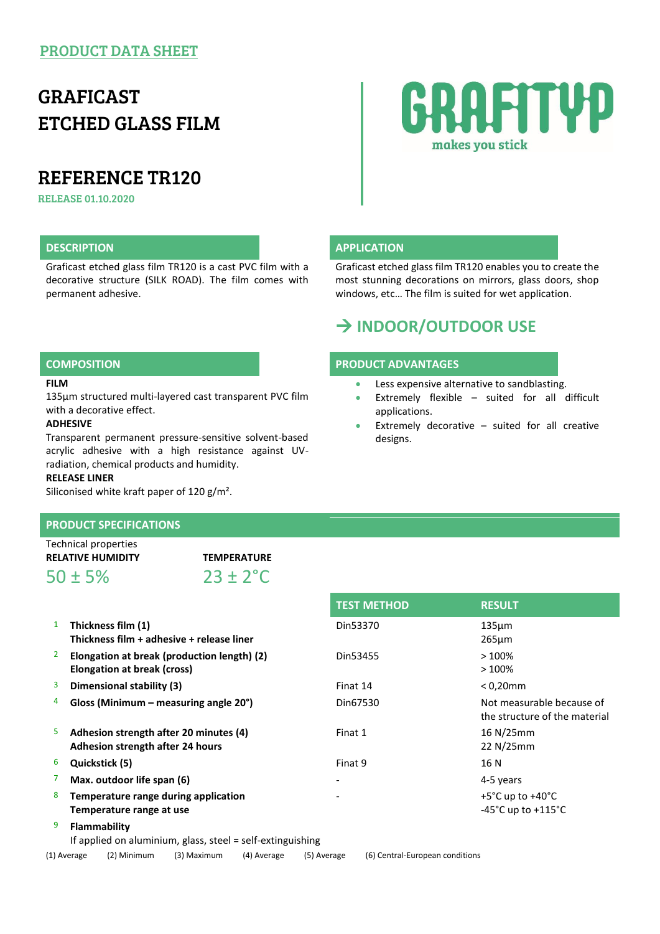## PRODUCT DATA SHEET

# GRAFICAST ETCHED GLASS FILM

# REFERENCE TR120

RELEASE 01.10.2020

Graficast etched glass film TR120 is a cast PVC film with a decorative structure (SILK ROAD). The film comes with permanent adhesive.

# RAFITYP makes you stick

#### **DESCRIPTION APPLICATION**

Graficast etched glass film TR120 enables you to create the most stunning decorations on mirrors, glass doors, shop windows, etc… The film is suited for wet application.

## **INDOOR/OUTDOOR USE**

#### **COMPOSITION PRODUCT ADVANTAGES**

- **Less expensive alternative to sandblasting.**
- Extremely flexible suited for all difficult applications.
- Extremely decorative suited for all creative designs.

#### **FILM**

135µm structured multi-layered cast transparent PVC film with a decorative effect.

#### **ADHESIVE**

Transparent permanent pressure-sensitive solvent-based acrylic adhesive with a high resistance against UVradiation, chemical products and humidity.

#### **RELEASE LINER**

Siliconised white kraft paper of 120 g/m<sup>2</sup>.

### **PRODUCT SPECIFICATIONS**

| Technical properties     |                      |  |
|--------------------------|----------------------|--|
| <b>RELATIVE HUMIDITY</b> | <b>TEMPERATURE</b>   |  |
| $50 \pm 5\%$             | $23 \pm 2^{\circ}$ C |  |

|                |                                                                            | <b>TEST METHOD</b>       | <b>RESULT</b>                                                                  |
|----------------|----------------------------------------------------------------------------|--------------------------|--------------------------------------------------------------------------------|
| 1              | Thickness film (1)<br>Thickness film + adhesive + release liner            | Din53370                 | $135 \mu m$<br>$265 \mu m$                                                     |
| $\overline{2}$ | Elongation at break (production length) (2)<br>Elongation at break (cross) | Din53455                 | >100%<br>$>100\%$                                                              |
| 3              | Dimensional stability (3)                                                  | Finat 14                 | $< 0.20$ mm                                                                    |
| 4              | Gloss (Minimum – measuring angle $20^{\circ}$ )                            | Din67530                 | Not measurable because of<br>the structure of the material                     |
| 5              | Adhesion strength after 20 minutes (4)<br>Adhesion strength after 24 hours | Finat 1                  | 16 N/25mm<br>22 N/25mm                                                         |
| 6              | Quickstick (5)                                                             | Finat 9                  | 16 N                                                                           |
| 7              | Max. outdoor life span (6)                                                 | $\overline{\phantom{0}}$ | 4-5 years                                                                      |
| 8              | Temperature range during application<br>Temperature range at use           |                          | $+5^{\circ}$ C up to $+40^{\circ}$ C<br>$-45^{\circ}$ C up to $+115^{\circ}$ C |
| 9              | Flammability                                                               |                          |                                                                                |

If applied on aluminium, glass, steel = self-extinguishing

(1) Average (2) Minimum (3) Maximum (4) Average (5) Average (6) Central-European conditions